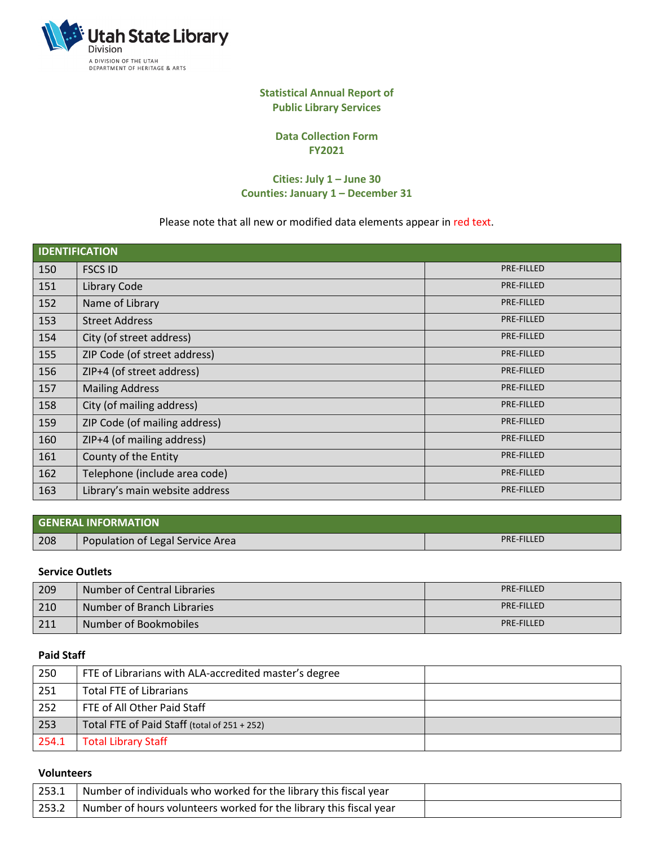

### **Statistical Annual Report of Public Library Services**

**Data Collection Form FY2021**

### **Cities: July 1 – June 30 Counties: January 1 – December 31**

## Please note that all new or modified data elements appear in red text.

| <b>IDENTIFICATION</b> |                                |                   |  |  |
|-----------------------|--------------------------------|-------------------|--|--|
| 150                   | <b>FSCS ID</b>                 | <b>PRE-FILLED</b> |  |  |
| 151                   | Library Code                   | PRE-FILLED        |  |  |
| 152                   | Name of Library                | PRE-FILLED        |  |  |
| 153                   | <b>Street Address</b>          | <b>PRE-FILLED</b> |  |  |
| 154                   | City (of street address)       | <b>PRE-FILLED</b> |  |  |
| 155                   | ZIP Code (of street address)   | <b>PRE-FILLED</b> |  |  |
| 156                   | ZIP+4 (of street address)      | PRE-FILLED        |  |  |
| 157                   | <b>Mailing Address</b>         | <b>PRE-FILLED</b> |  |  |
| 158                   | City (of mailing address)      | <b>PRE-FILLED</b> |  |  |
| 159                   | ZIP Code (of mailing address)  | <b>PRE-FILLED</b> |  |  |
| 160                   | ZIP+4 (of mailing address)     | PRE-FILLED        |  |  |
| 161                   | County of the Entity           | PRE-FILLED        |  |  |
| 162                   | Telephone (include area code)  | PRE-FILLED        |  |  |
| 163                   | Library's main website address | <b>PRE-FILLED</b> |  |  |

|     | <b>GENERAL INFORMATION</b>       |            |
|-----|----------------------------------|------------|
| 208 | Population of Legal Service Area | PRE-FILLED |

### **Service Outlets**

| 209 | Number of Central Libraries | <b>PRE-FILLED</b> |
|-----|-----------------------------|-------------------|
| 210 | Number of Branch Libraries  | <b>PRE-FILLED</b> |
| 211 | Number of Bookmobiles       | <b>PRE-FILLED</b> |

### **Paid Staff**

| 250   | FTE of Librarians with ALA-accredited master's degree |  |
|-------|-------------------------------------------------------|--|
| 251   | Total FTE of Librarians                               |  |
| 252   | FTE of All Other Paid Staff                           |  |
| 253   | Total FTE of Paid Staff (total of 251 + 252)          |  |
| 254.1 | <b>Total Library Staff</b>                            |  |

#### **Volunteers**

| 253.1 | Number of individuals who worked for the library this fiscal year  |  |
|-------|--------------------------------------------------------------------|--|
| 253.2 | Number of hours volunteers worked for the library this fiscal year |  |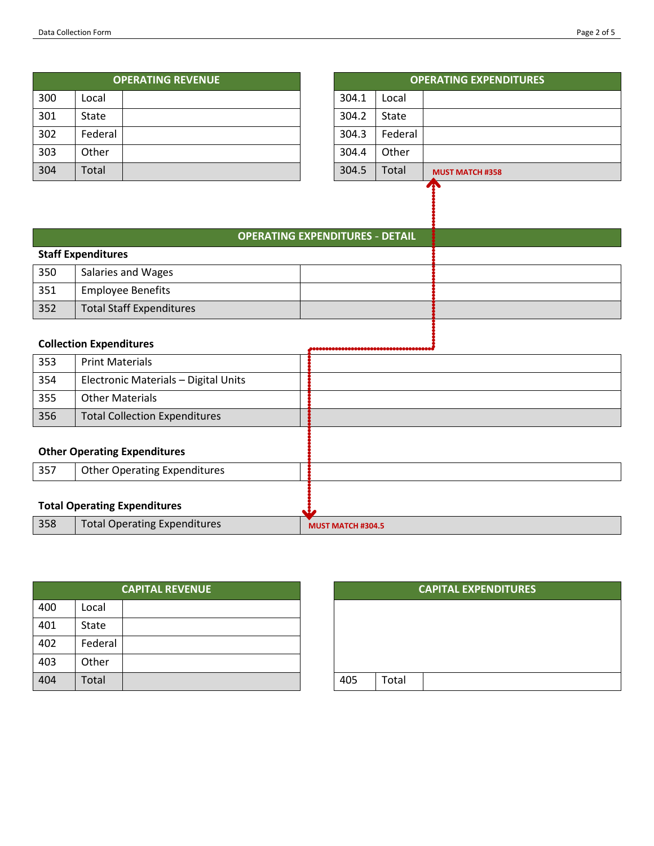| Page 2 of 5 |  |  |
|-------------|--|--|
|-------------|--|--|

|     | <b>OPERATING REVENUE</b> |  | O     |              |
|-----|--------------------------|--|-------|--------------|
| 300 | Local                    |  | 304.1 | Local        |
| 301 | State                    |  | 304.2 | <b>State</b> |
| 302 | Federal                  |  | 304.3 | Federal      |
| 303 | Other                    |  | 304.4 | Other        |
| 304 | Total                    |  | 304.5 | Total        |

| <b>OPERATING REVENUE</b> |  |       |         | <b>OPERATING EXPENDITURES</b> |
|--------------------------|--|-------|---------|-------------------------------|
|                          |  | 304.1 | Local   |                               |
|                          |  | 304.2 | State   |                               |
|                          |  | 304.3 | Federal |                               |
|                          |  | 304.4 | Other   |                               |
|                          |  | 304.5 | Total   | <b>MUST MATCH #358</b>        |
|                          |  |       |         | $\mathbf{r}$                  |

# **OPERATING EXPENDITURES - DETAIL**

|     | <b>Staff Expenditures</b>       |  |  |
|-----|---------------------------------|--|--|
| 350 | Salaries and Wages              |  |  |
| 351 | <b>Employee Benefits</b>        |  |  |
| 352 | <b>Total Staff Expenditures</b> |  |  |
|     |                                 |  |  |

## **Collection Expenditures**

| 353 | <b>Print Materials</b>               |                          |
|-----|--------------------------------------|--------------------------|
| 354 | Electronic Materials - Digital Units |                          |
| 355 | <b>Other Materials</b>               |                          |
| 356 | <b>Total Collection Expenditures</b> |                          |
|     |                                      |                          |
|     | <b>Other Operating Expenditures</b>  |                          |
| 357 | <b>Other Operating Expenditures</b>  |                          |
|     |                                      |                          |
|     | <b>Total Operating Expenditures</b>  |                          |
| 358 | <b>Total Operating Expenditures</b>  | <b>MUST MATCH #304.5</b> |

|     |         | <b>CAPITAL REVENUE</b> |     |       |
|-----|---------|------------------------|-----|-------|
| 400 | Local   |                        |     |       |
| 401 | State   |                        |     |       |
| 402 | Federal |                        |     |       |
| 403 | Other   |                        |     |       |
| 404 | Total   |                        | 405 | Total |

| <b>CAPITAL REVENUE</b> |  |     |       | <b>CAPITAL EXPENDITURES</b> |
|------------------------|--|-----|-------|-----------------------------|
|                        |  |     |       |                             |
|                        |  |     |       |                             |
|                        |  |     |       |                             |
|                        |  |     |       |                             |
|                        |  | 405 | Total |                             |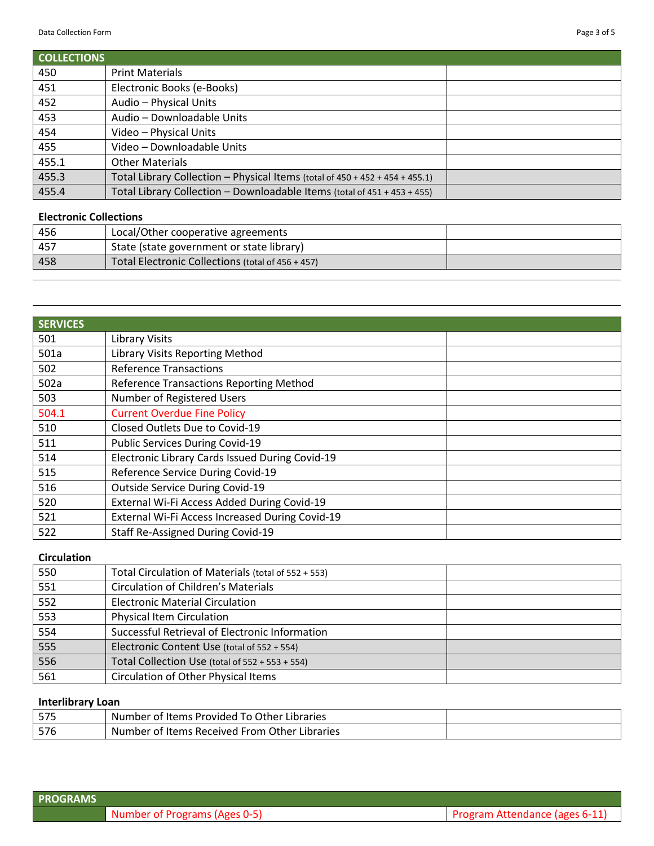| <b>COLLECTIONS</b> |                                                                              |  |
|--------------------|------------------------------------------------------------------------------|--|
| 450                | <b>Print Materials</b>                                                       |  |
| 451                | Electronic Books (e-Books)                                                   |  |
| 452                | Audio - Physical Units                                                       |  |
| 453                | Audio - Downloadable Units                                                   |  |
| 454                | Video - Physical Units                                                       |  |
| 455                | Video - Downloadable Units                                                   |  |
| 455.1              | <b>Other Materials</b>                                                       |  |
| 455.3              | Total Library Collection - Physical Items (total of 450 + 452 + 454 + 455.1) |  |
| 455.4              | Total Library Collection - Downloadable Items (total of 451 + 453 + 455)     |  |

### **Electronic Collections**

| 456 | Local/Other cooperative agreements                |  |
|-----|---------------------------------------------------|--|
| 457 | State (state government or state library)         |  |
| 458 | Total Electronic Collections (total of 456 + 457) |  |

| <b>SERVICES</b> |                                                 |
|-----------------|-------------------------------------------------|
| 501             | <b>Library Visits</b>                           |
| 501a            | <b>Library Visits Reporting Method</b>          |
| 502             | <b>Reference Transactions</b>                   |
| 502a            | Reference Transactions Reporting Method         |
| 503             | Number of Registered Users                      |
| 504.1           | <b>Current Overdue Fine Policy</b>              |
| 510             | Closed Outlets Due to Covid-19                  |
| 511             | <b>Public Services During Covid-19</b>          |
| 514             | Electronic Library Cards Issued During Covid-19 |
| 515             | Reference Service During Covid-19               |
| 516             | <b>Outside Service During Covid-19</b>          |
| 520             | External Wi-Fi Access Added During Covid-19     |
| 521             | External Wi-Fi Access Increased During Covid-19 |
| 522             | Staff Re-Assigned During Covid-19               |

## **Circulation**

| 550 | Total Circulation of Materials (total of 552 + 553) |  |
|-----|-----------------------------------------------------|--|
| 551 | <b>Circulation of Children's Materials</b>          |  |
| 552 | <b>Electronic Material Circulation</b>              |  |
| 553 | <b>Physical Item Circulation</b>                    |  |
| 554 | Successful Retrieval of Electronic Information      |  |
| 555 | Electronic Content Use (total of 552 + 554)         |  |
| 556 | Total Collection Use (total of $552 + 553 + 554$ )  |  |
| 561 | <b>Circulation of Other Physical Items</b>          |  |

## **Interlibrary Loan**

| r zr<br>13. | Number of Items Provided To Other Libraries   |  |
|-------------|-----------------------------------------------|--|
| 576         | Number of Items Received From Other Libraries |  |

| <b>PROGRAMS</b> |                               |                                |
|-----------------|-------------------------------|--------------------------------|
|                 | Number of Programs (Ages 0-5) | Program Attendance (ages 6-11) |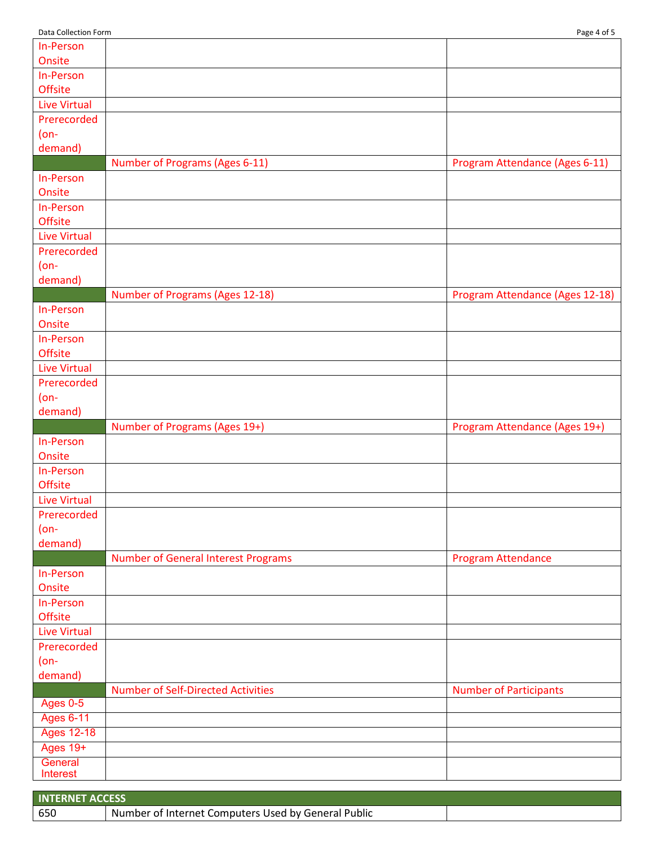| In-Person           |                                            |                                 |
|---------------------|--------------------------------------------|---------------------------------|
| Onsite              |                                            |                                 |
| In-Person           |                                            |                                 |
| <b>Offsite</b>      |                                            |                                 |
| <b>Live Virtual</b> |                                            |                                 |
| Prerecorded         |                                            |                                 |
| $(on-$              |                                            |                                 |
| demand)             |                                            |                                 |
|                     | <b>Number of Programs (Ages 6-11)</b>      | Program Attendance (Ages 6-11)  |
| In-Person           |                                            |                                 |
| Onsite              |                                            |                                 |
| In-Person           |                                            |                                 |
| <b>Offsite</b>      |                                            |                                 |
| <b>Live Virtual</b> |                                            |                                 |
| Prerecorded         |                                            |                                 |
| $(on-$              |                                            |                                 |
| demand)             |                                            |                                 |
|                     | Number of Programs (Ages 12-18)            | Program Attendance (Ages 12-18) |
| In-Person           |                                            |                                 |
| Onsite              |                                            |                                 |
| In-Person           |                                            |                                 |
| <b>Offsite</b>      |                                            |                                 |
| <b>Live Virtual</b> |                                            |                                 |
| Prerecorded         |                                            |                                 |
| $(on-$              |                                            |                                 |
| demand)             |                                            |                                 |
|                     | Number of Programs (Ages 19+)              | Program Attendance (Ages 19+)   |
| In-Person           |                                            |                                 |
| Onsite              |                                            |                                 |
| In-Person           |                                            |                                 |
| <b>Offsite</b>      |                                            |                                 |
| <b>Live Virtual</b> |                                            |                                 |
| Prerecorded         |                                            |                                 |
| $(on-$              |                                            |                                 |
| demand)             |                                            |                                 |
|                     | <b>Number of General Interest Programs</b> | Program Attendance              |
| In-Person           |                                            |                                 |
| Onsite              |                                            |                                 |
| In-Person           |                                            |                                 |
| <b>Offsite</b>      |                                            |                                 |
| <b>Live Virtual</b> |                                            |                                 |
| Prerecorded         |                                            |                                 |
| $(on-$              |                                            |                                 |
| demand)             |                                            |                                 |
|                     | <b>Number of Self-Directed Activities</b>  | <b>Number of Participants</b>   |
| <b>Ages 0-5</b>     |                                            |                                 |
| <b>Ages 6-11</b>    |                                            |                                 |
| <b>Ages 12-18</b>   |                                            |                                 |
| Ages 19+            |                                            |                                 |
| General             |                                            |                                 |
| Interest            |                                            |                                 |

| <b>INTERNET ACCESS</b> |                                                     |  |
|------------------------|-----------------------------------------------------|--|
| 1650                   | Number of Internet Computers Used by General Public |  |